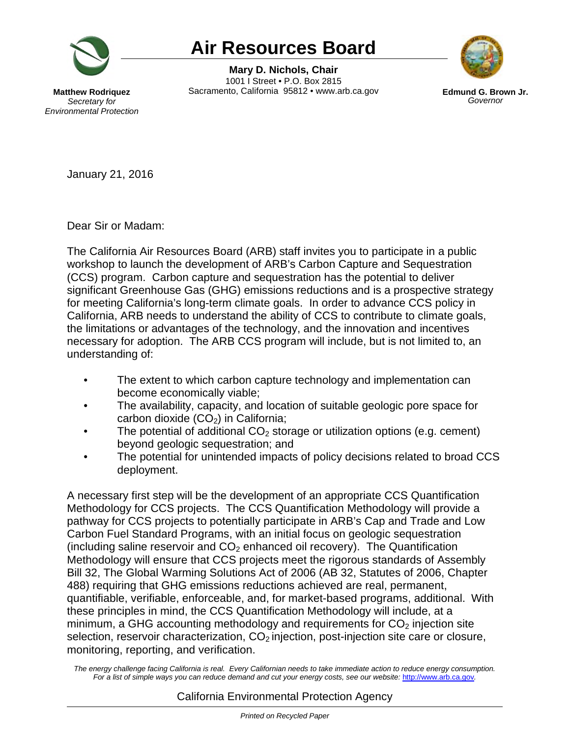

## **Air Resources Board**

**Mary D. Nichols, Chair** 1001 I Street • P.O. Box 2815 Sacramento, California 95812 • www.arb.ca.gov **Edmund G. Brown Jr.**



*Governor*

**Matthew Rodriquez** *Secretary for Environmental Protection*

January 21, 2016

Dear Sir or Madam:

The California Air Resources Board (ARB) staff invites you to participate in a public workshop to launch the development of ARB's Carbon Capture and Sequestration (CCS) program. Carbon capture and sequestration has the potential to deliver significant Greenhouse Gas (GHG) emissions reductions and is a prospective strategy for meeting California's long-term climate goals. In order to advance CCS policy in California, ARB needs to understand the ability of CCS to contribute to climate goals, the limitations or advantages of the technology, and the innovation and incentives necessary for adoption. The ARB CCS program will include, but is not limited to, an understanding of:

- The extent to which carbon capture technology and implementation can become economically viable;
- The availability, capacity, and location of suitable geologic pore space for carbon dioxide  $(CO<sub>2</sub>)$  in California;
- The potential of additional  $CO<sub>2</sub>$  storage or utilization options (e.g. cement) beyond geologic sequestration; and
- The potential for unintended impacts of policy decisions related to broad CCS deployment.

A necessary first step will be the development of an appropriate CCS Quantification Methodology for CCS projects. The CCS Quantification Methodology will provide a pathway for CCS projects to potentially participate in ARB's Cap and Trade and Low Carbon Fuel Standard Programs, with an initial focus on geologic sequestration (including saline reservoir and  $CO<sub>2</sub>$  enhanced oil recovery). The Quantification Methodology will ensure that CCS projects meet the rigorous standards of Assembly Bill 32, The Global Warming Solutions Act of 2006 (AB 32, Statutes of 2006, Chapter 488) requiring that GHG emissions reductions achieved are real, permanent, quantifiable, verifiable, enforceable, and, for market-based programs, additional. With these principles in mind, the CCS Quantification Methodology will include, at a minimum, a GHG accounting methodology and requirements for  $CO<sub>2</sub>$  injection site selection, reservoir characterization,  $CO<sub>2</sub>$  injection, post-injection site care or closure, monitoring, reporting, and verification.

The energy challenge facing California is real. Every Californian needs to take immediate action to reduce energy consumption. For a list of simple ways you can reduce demand and cut your energy costs, see our website: [http://www.arb.ca.gov](http://www.arb.ca.gov/).

## California Environmental Protection Agency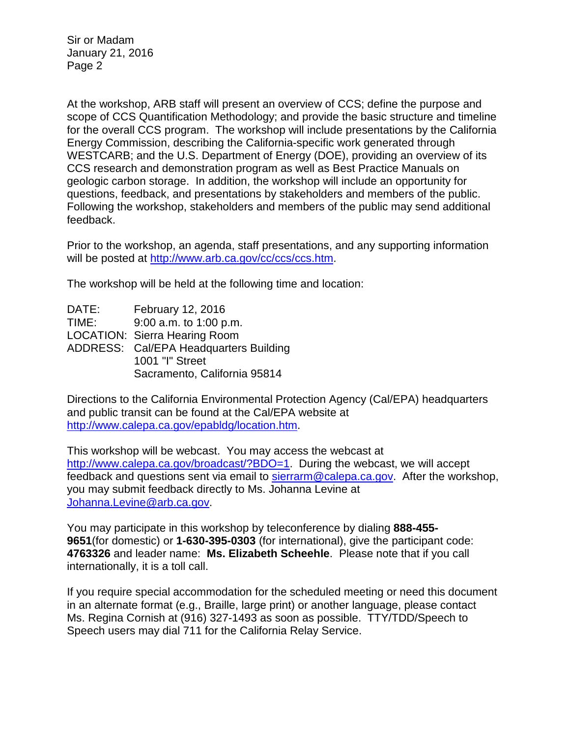Sir or Madam January 21, 2016 Page 2

At the workshop, ARB staff will present an overview of CCS; define the purpose and scope of CCS Quantification Methodology; and provide the basic structure and timeline for the overall CCS program. The workshop will include presentations by the California Energy Commission, describing the California-specific work generated through WESTCARB; and the U.S. Department of Energy (DOE), providing an overview of its CCS research and demonstration program as well as Best Practice Manuals on geologic carbon storage. In addition, the workshop will include an opportunity for questions, feedback, and presentations by stakeholders and members of the public. Following the workshop, stakeholders and members of the public may send additional feedback.

Prior to the workshop, an agenda, staff presentations, and any supporting information will be posted at [http://www.arb.ca.gov/cc/ccs/ccs.htm.](http://www.arb.ca.gov/cc/ccs/ccs.htm)

The workshop will be held at the following time and location:

DATE: February 12, 2016 TIME: 9:00 a.m. to 1:00 p.m. LOCATION: Sierra Hearing Room ADDRESS: Cal/EPA Headquarters Building 1001 "I" Street Sacramento, California 95814

Directions to the California Environmental Protection Agency (Cal/EPA) headquarters and public transit can be found at the Cal/EPA website at [http://www.calepa.ca.gov/epabldg/location.htm.](http://www.calepa.ca.gov/epabldg/location.htm)

This workshop will be webcast. You may access the webcast at [http://www.calepa.ca.gov/broadcast/?BDO=1.](http://www.calepa.ca.gov/broadcast/?BDO=1) During the webcast, we will accept feedback and questions sent via email to [sierrarm@calepa.ca.gov.](mailto:sierrarm@calepa.ca.gov) After the workshop, you may submit feedback directly to Ms. Johanna Levine at [Johanna.Levine@arb.ca.gov.](mailto:Johanna.Levine@arb.ca.gov)

You may participate in this workshop by teleconference by dialing **888-455- 9651**(for domestic) or **1-630-395-0303** (for international), give the participant code: **4763326** and leader name: **Ms. Elizabeth Scheehle**. Please note that if you call internationally, it is a toll call.

If you require special accommodation for the scheduled meeting or need this document in an alternate format (e.g., Braille, large print) or another language, please contact Ms. Regina Cornish at (916) 327-1493 as soon as possible. TTY/TDD/Speech to Speech users may dial 711 for the California Relay Service.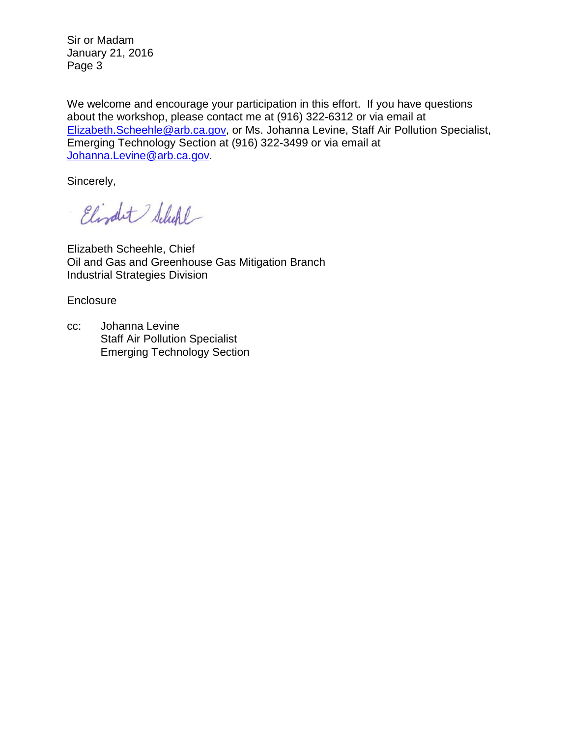Sir or Madam January 21, 2016 Page 3

We welcome and encourage your participation in this effort. If you have questions about the workshop, please contact me at (916) 322-6312 or via email at [Elizabeth.Scheehle@arb.ca.gov,](mailto:Elizabeth.Scheehle@arb.ca.gov) or Ms. Johanna Levine, Staff Air Pollution Specialist, Emerging Technology Section at (916) 322-3499 or via email at [Johanna.Levine@arb.ca.gov.](mailto:Johanna.Levine@arb.ca.gov)

Sincerely,

Elizabet Schefel

Elizabeth Scheehle, Chief Oil and Gas and Greenhouse Gas Mitigation Branch Industrial Strategies Division

**Enclosure** 

cc: Johanna Levine Staff Air Pollution Specialist Emerging Technology Section